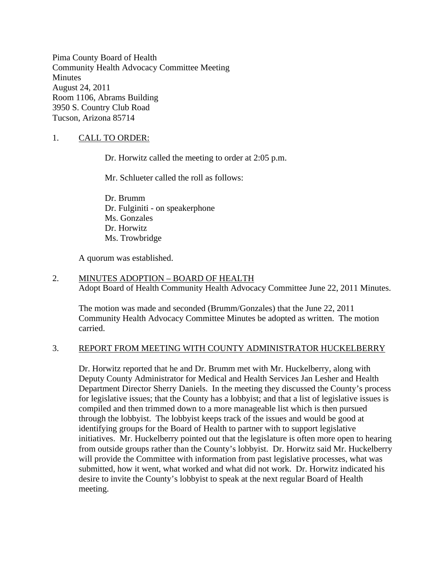Pima County Board of Health Community Health Advocacy Committee Meeting **Minutes** August 24, 2011 Room 1106, Abrams Building 3950 S. Country Club Road Tucson, Arizona 85714

### 1. CALL TO ORDER:

Dr. Horwitz called the meeting to order at 2:05 p.m.

Mr. Schlueter called the roll as follows:

Dr. Brumm Dr. Fulginiti - on speakerphone Ms. Gonzales Dr. Horwitz Ms. Trowbridge

A quorum was established.

#### 2. MINUTES ADOPTION – BOARD OF HEALTH Adopt Board of Health Community Health Advocacy Committee June 22, 2011 Minutes.

The motion was made and seconded (Brumm/Gonzales) that the June 22, 2011 Community Health Advocacy Committee Minutes be adopted as written. The motion carried.

#### 3. REPORT FROM MEETING WITH COUNTY ADMINISTRATOR HUCKELBERRY

Dr. Horwitz reported that he and Dr. Brumm met with Mr. Huckelberry, along with Deputy County Administrator for Medical and Health Services Jan Lesher and Health Department Director Sherry Daniels. In the meeting they discussed the County's process for legislative issues; that the County has a lobbyist; and that a list of legislative issues is compiled and then trimmed down to a more manageable list which is then pursued through the lobbyist. The lobbyist keeps track of the issues and would be good at identifying groups for the Board of Health to partner with to support legislative initiatives. Mr. Huckelberry pointed out that the legislature is often more open to hearing from outside groups rather than the County's lobbyist. Dr. Horwitz said Mr. Huckelberry will provide the Committee with information from past legislative processes, what was submitted, how it went, what worked and what did not work. Dr. Horwitz indicated his desire to invite the County's lobbyist to speak at the next regular Board of Health meeting.